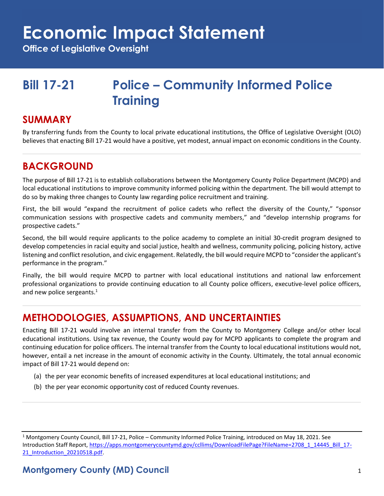**Office of Legislative Oversight**

### **Bill 17-21 Police – Community Informed Police Training**

#### **SUMMARY**

By transferring funds from the County to local private educational institutions, the Office of Legislative Oversight (OLO) believes that enacting Bill 17-21 would have a positive, yet modest, annual impact on economic conditions in the County.

#### **BACKGROUND**

The purpose of Bill 17-21 is to establish collaborations between the Montgomery County Police Department (MCPD) and local educational institutions to improve community informed policing within the department. The bill would attempt to do so by making three changes to County law regarding police recruitment and training.

First, the bill would "expand the recruitment of police cadets who reflect the diversity of the County," "sponsor communication sessions with prospective cadets and community members," and "develop internship programs for prospective cadets."

Second, the bill would require applicants to the police academy to complete an initial 30-credit program designed to develop competencies in racial equity and social justice, health and wellness, community policing, policing history, active listening and conflict resolution, and civic engagement. Relatedly, the bill would require MCPD to "consider the applicant's performance in the program."

Finally, the bill would require MCPD to partner with local educational institutions and national law enforcement professional organizations to provide continuing education to all County police officers, executive-level police officers, and new police sergeants.<sup>1</sup>

#### **METHODOLOGIES, ASSUMPTIONS, AND UNCERTAINTIES**

Enacting Bill 17-21 would involve an internal transfer from the County to Montgomery College and/or other local educational institutions. Using tax revenue, the County would pay for MCPD applicants to complete the program and continuing education for police officers. The internal transfer from the County to local educational institutions would not, however, entail a net increase in the amount of economic activity in the County. Ultimately, the total annual economic impact of Bill 17-21 would depend on:

- (a) the per year economic benefits of increased expenditures at local educational institutions; and
- (b) the per year economic opportunity cost of reduced County revenues.

<sup>1</sup> Montgomery County Council, Bill 17-21, Police – Community Informed Police Training, introduced on May 18, 2021. See Introduction Staff Report, [https://apps.montgomerycountymd.gov/ccllims/DownloadFilePage?FileName=2708\\_1\\_14445\\_Bill\\_17-](https://apps.montgomerycountymd.gov/ccllims/DownloadFilePage?FileName=2708_1_14445_Bill_17-21_Introduction_20210518.pdf) [21\\_Introduction\\_20210518.pdf.](https://apps.montgomerycountymd.gov/ccllims/DownloadFilePage?FileName=2708_1_14445_Bill_17-21_Introduction_20210518.pdf)

#### **Montgomery County (MD) Council** 1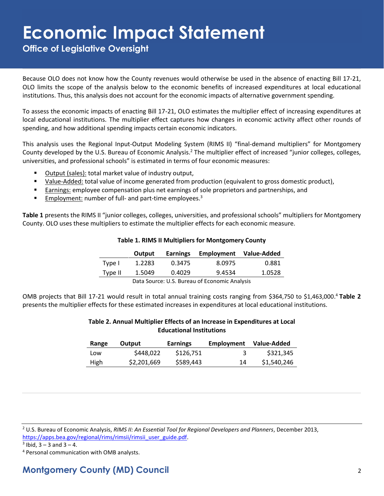**Office of Legislative Oversight**

Because OLO does not know how the County revenues would otherwise be used in the absence of enacting Bill 17-21, OLO limits the scope of the analysis below to the economic benefits of increased expenditures at local educational institutions. Thus, this analysis does not account for the economic impacts of alternative government spending.

To assess the economic impacts of enacting Bill 17-21, OLO estimates the multiplier effect of increasing expenditures at local educational institutions. The multiplier effect captures how changes in economic activity affect other rounds of spending, and how additional spending impacts certain economic indicators.

This analysis uses the Regional Input-Output Modeling System (RIMS II) "final-demand multipliers" for Montgomery County developed by the U.S. Bureau of Economic Analysis.<sup>2</sup> The multiplier effect of increased "junior colleges, colleges, universities, and professional schools" is estimated in terms of four economic measures:

- Output (sales): total market value of industry output,
- Value-Added: total value of income generated from production (equivalent to gross domestic product),
- **Earnings: employee compensation plus net earnings of sole proprietors and partnerships, and partnerships**
- **Employment:** number of full- and part-time employees.<sup>3</sup>

**Table 1** presents the RIMS II "junior colleges, colleges, universities, and professional schools" multipliers for Montgomery County. OLO uses these multipliers to estimate the multiplier effects for each economic measure.

|         | Output | <b>Earnings</b> | Employment | Value-Added |
|---------|--------|-----------------|------------|-------------|
| Type I  | 1.2283 | 0.3475          | 8.0975     | 0.881       |
| Type II | 1.5049 | 0.4029          | 9.4534     | 1.0528      |

**Table 1. RIMS II Multipliers for Montgomery County**

Data Source: U.S. Bureau of Economic Analysis

OMB projects that Bill 17-21 would result in total annual training costs ranging from \$364,750 to \$1,463,000. <sup>4</sup> **Table 2** presents the multiplier effects for these estimated increases in expenditures at local educational institutions.

#### **Table 2. Annual Multiplier Effects of an Increase in Expenditures at Local Educational Institutions**

| Range       | Output      | <b>Earnings</b> | Employment | Value-Added |
|-------------|-------------|-----------------|------------|-------------|
| Low         | \$448,022   | \$126.751       |            | \$321,345   |
| <b>High</b> | \$2,201,669 | \$589,443       | 14         | \$1,540,246 |

<sup>2</sup> U.S. Bureau of Economic Analysis, *RIMS II: An Essential Tool for Regional Developers and Planners*, December 2013, [https://apps.bea.gov/regional/rims/rimsii/rimsii\\_user\\_guide.pdf.](https://apps.bea.gov/regional/rims/rimsii/rimsii_user_guide.pdf)

 $3$  lbid,  $3 - 3$  and  $3 - 4$ .

<sup>4</sup> Personal communication with OMB analysts.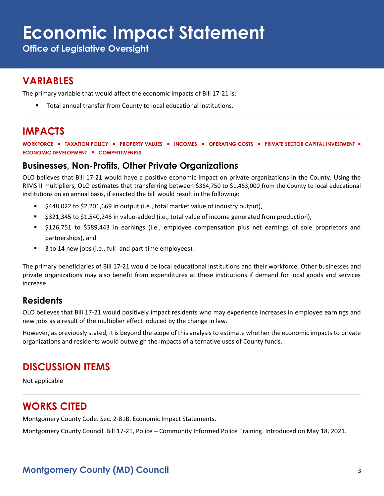**Office of Legislative Oversight**

#### **VARIABLES**

The primary variable that would affect the economic impacts of Bill 17-21 is:

▪ Total annual transfer from County to local educational institutions.

### **IMPACTS**

**WORKFORCE** ▪ **TAXATION POLICY** ▪ **PROPERTY VALUES** ▪ **INCOMES** ▪ **OPERATING COSTS** ▪ **PRIVATE SECTOR CAPITAL INVESTMENT** ▪ **ECONOMIC DEVELOPMENT** ▪ **COMPETITIVENESS**

#### **Businesses, Non-Profits, Other Private Organizations**

OLO believes that Bill 17-21 would have a positive economic impact on private organizations in the County. Using the RIMS II multipliers, OLO estimates that transferring between \$364,750 to \$1,463,000 from the County to local educational institutions on an annual basis, if enacted the bill would result in the following:

- \$448,022 to \$2,201,669 in output (i.e., total market value of industry output),
- \$321,345 to \$1,540,246 in value-added (i.e., total value of income generated from production),
- \$126,751 to \$589,443 in earnings (i.e., employee compensation plus net earnings of sole proprietors and partnerships), and
- 3 to 14 new jobs (i.e., full- and part-time employees).

The primary beneficiaries of Bill 17-21 would be local educational institutions and their workforce. Other businesses and private organizations may also benefit from expenditures at these institutions if demand for local goods and services increase.

#### **Residents**

OLO believes that Bill 17-21 would positively impact residents who may experience increases in employee earnings and new jobs as a result of the multiplier effect induced by the change in law.

However, as previously stated, it is beyond the scope of this analysis to estimate whether the economic impacts to private organizations and residents would outweigh the impacts of alternative uses of County funds.

#### **DISCUSSION ITEMS**

Not applicable

#### **WORKS CITED**

Montgomery County Code. Sec. 2-81B. Economic Impact Statements.

Montgomery County Council. Bill 17-21, Police – Community Informed Police Training. Introduced on May 18, 2021.